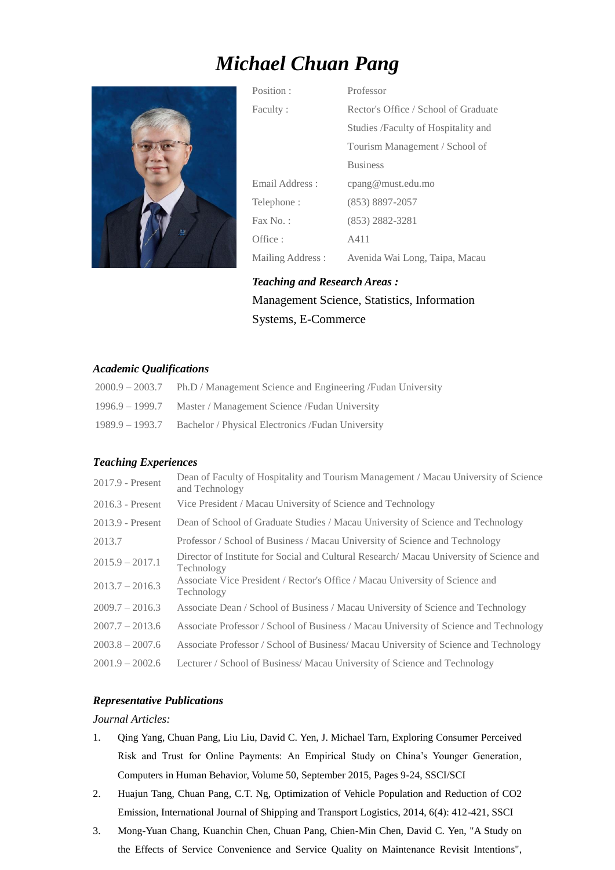# *Michael Chuan Pang*



Position : Professor Faculty : Rector's Office / School of Graduate Studies /Faculty of Hospitality and Tourism Management / School of Business Email Address : cpang@must.edu.mo Telephone : (853) 8897-2057 Fax No.: (853) 2882-3281 Office :  $A411$ Mailing Address : Avenida Wai Long, Taipa, Macau

*Teaching and Research Areas :* Management Science, Statistics, Information Systems, E-Commerce

## *Academic Qualifications*

| $2000.9 - 2003.7$ | Ph.D / Management Science and Engineering / Fudan University |
|-------------------|--------------------------------------------------------------|
| 1996.9 – 1999.7   | Master / Management Science / Fudan University               |
| 1989.9 – 1993.7   | Bachelor / Physical Electronics / Fudan University           |

## *Teaching Experiences*

| 2017.9 - Present   | Dean of Faculty of Hospitality and Tourism Management / Macau University of Science<br>and Technology |
|--------------------|-------------------------------------------------------------------------------------------------------|
| $2016.3$ - Present | Vice President / Macau University of Science and Technology                                           |
| 2013.9 - Present   | Dean of School of Graduate Studies / Macau University of Science and Technology                       |
| 2013.7             | Professor / School of Business / Macau University of Science and Technology                           |
| $2015.9 - 2017.1$  | Director of Institute for Social and Cultural Research/ Macau University of Science and<br>Technology |
| $2013.7 - 2016.3$  | Associate Vice President / Rector's Office / Macau University of Science and<br>Technology            |
| $2009.7 - 2016.3$  | Associate Dean / School of Business / Macau University of Science and Technology                      |
| $2007.7 - 2013.6$  | Associate Professor / School of Business / Macau University of Science and Technology                 |
| $2003.8 - 2007.6$  | Associate Professor / School of Business/ Macau University of Science and Technology                  |
| $2001.9 - 2002.6$  | Lecturer / School of Business/ Macau University of Science and Technology                             |

# *Representative Publications*

## *Journal Articles:*

- 1. Qing Yang, Chuan Pang, Liu Liu, David C. Yen, J. Michael Tarn, Exploring Consumer Perceived Risk and Trust for Online Payments: An Empirical Study on China's Younger Generation, Computers in Human Behavior, Volume 50, September 2015, Pages 9-24, SSCI/SCI
- 2. Huajun Tang, Chuan Pang, C.T. Ng, Optimization of Vehicle Population and Reduction of CO2 Emission, International Journal of Shipping and Transport Logistics, 2014, 6(4): 412-421, SSCI
- 3. Mong-Yuan Chang, Kuanchin Chen, Chuan Pang, Chien-Min Chen, David C. Yen, "A Study on the Effects of Service Convenience and Service Quality on Maintenance Revisit Intentions",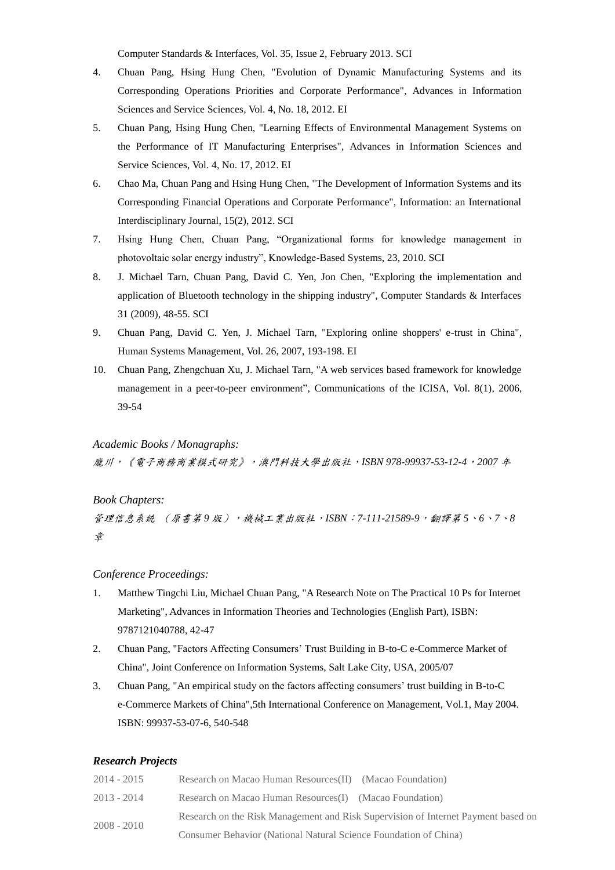Computer Standards & Interfaces, Vol. 35, Issue 2, February 2013. SCI

- 4. Chuan Pang, Hsing Hung Chen, "Evolution of Dynamic Manufacturing Systems and its Corresponding Operations Priorities and Corporate Performance", Advances in Information Sciences and Service Sciences, Vol. 4, No. 18, 2012. EI
- 5. Chuan Pang, Hsing Hung Chen, "Learning Effects of Environmental Management Systems on the Performance of IT Manufacturing Enterprises", Advances in Information Sciences and Service Sciences, Vol. 4, No. 17, 2012. EI
- 6. Chao Ma, Chuan Pang and Hsing Hung Chen, "The Development of Information Systems and its Corresponding Financial Operations and Corporate Performance", Information: an International Interdisciplinary Journal, 15(2), 2012. SCI
- 7. Hsing Hung Chen, Chuan Pang, "Organizational forms for knowledge management in photovoltaic solar energy industry", Knowledge-Based Systems, 23, 2010. SCI
- 8. J. Michael Tarn, Chuan Pang, David C. Yen, Jon Chen, "Exploring the implementation and application of Bluetooth technology in the shipping industry", Computer Standards & Interfaces 31 (2009), 48-55. SCI
- 9. Chuan Pang, David C. Yen, J. Michael Tarn, "Exploring online shoppers' e-trust in China", Human Systems Management, Vol. 26, 2007, 193-198. EI
- 10. Chuan Pang, Zhengchuan Xu, J. Michael Tarn, "A web services based framework for knowledge management in a peer-to-peer environment", Communications of the ICISA, Vol. 8(1), 2006, 39-54

#### *Academic Books / Monagraphs:*

龐川,《電子商務商業模式研究》,澳門科技大學出版社,*ISBN 978-99937-53-12-4*,*2007* 年

#### *Book Chapters:*

管理信息系統 (原書第9版),機械工業出版社,ISBN:7-111-21589-9,翻譯第5、6、7、8 章

### *Conference Proceedings:*

- 1. Matthew Tingchi Liu, Michael Chuan Pang, "A Research Note on The Practical 10 Ps for Internet Marketing", Advances in Information Theories and Technologies (English Part), ISBN: 9787121040788, 42-47
- 2. Chuan Pang, "Factors Affecting Consumers' Trust Building in B-to-C e-Commerce Market of China", Joint Conference on Information Systems, Salt Lake City, USA, 2005/07
- 3. Chuan Pang, "An empirical study on the factors affecting consumers' trust building in B-to-C e-Commerce Markets of China",5th International Conference on Management, Vol.1, May 2004. ISBN: 99937-53-07-6, 540-548

#### *Research Projects*

| $2014 - 2015$ | Research on Macao Human Resources(II) (Macao Foundation)                          |
|---------------|-----------------------------------------------------------------------------------|
| $2013 - 2014$ | Research on Macao Human Resources(I) (Macao Foundation)                           |
| $2008 - 2010$ | Research on the Risk Management and Risk Supervision of Internet Payment based on |
|               | Consumer Behavior (National Natural Science Foundation of China)                  |